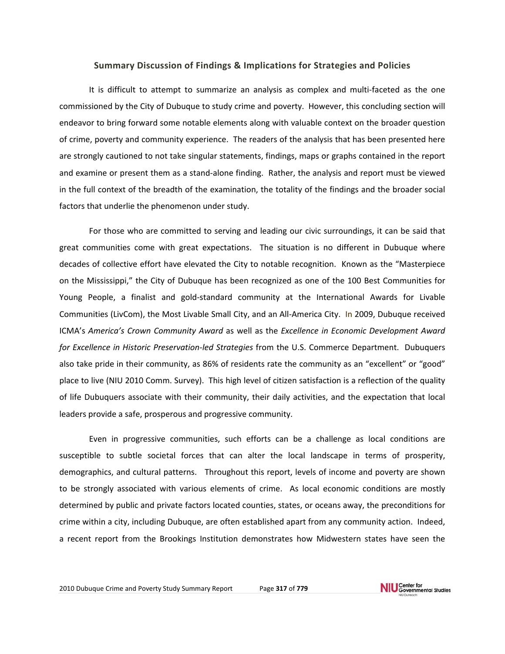## **Summary Discussion of Findings & Implications for Strategies and Policies**

It is difficult to attempt to summarize an analysis as complex and multi-faceted as the one commissioned by the City of Dubuque to study crime and poverty. However, this concluding section will endeavor to bring forward some notable elements along with valuable context on the broader question of crime, poverty and community experience. The readers of the analysis that has been presented here are strongly cautioned to not take singular statements, findings, maps or graphs contained in the report and examine or present them as a stand‐alone finding. Rather, the analysis and report must be viewed in the full context of the breadth of the examination, the totality of the findings and the broader social factors that underlie the phenomenon under study.

For those who are committed to serving and leading our civic surroundings, it can be said that great communities come with great expectations. The situation is no different in Dubuque where decades of collective effort have elevated the City to notable recognition. Known as the "Masterpiece on the Mississippi," the City of Dubuque has been recognized as one of the 100 Best Communities for Young People, a finalist and gold‐standard community at the International Awards for Livable Communities (LivCom), the Most Livable Small City, and an All‐America City. In 2009, Dubuque received ICMA's *America's Crown Community Award* as well as the *Excellence in Economic Development Award for Excellence in Historic Preservation‐led Strategies* from the U.S. Commerce Department. Dubuquers also take pride in their community, as 86% of residents rate the community as an "excellent" or "good" place to live (NIU 2010 Comm. Survey). This high level of citizen satisfaction is a reflection of the quality of life Dubuquers associate with their community, their daily activities, and the expectation that local leaders provide a safe, prosperous and progressive community.

Even in progressive communities, such efforts can be a challenge as local conditions are susceptible to subtle societal forces that can alter the local landscape in terms of prosperity, demographics, and cultural patterns. Throughout this report, levels of income and poverty are shown to be strongly associated with various elements of crime. As local economic conditions are mostly determined by public and private factors located counties, states, or oceans away, the preconditions for crime within a city, including Dubuque, are often established apart from any community action. Indeed, a recent report from the Brookings Institution demonstrates how Midwestern states have seen the

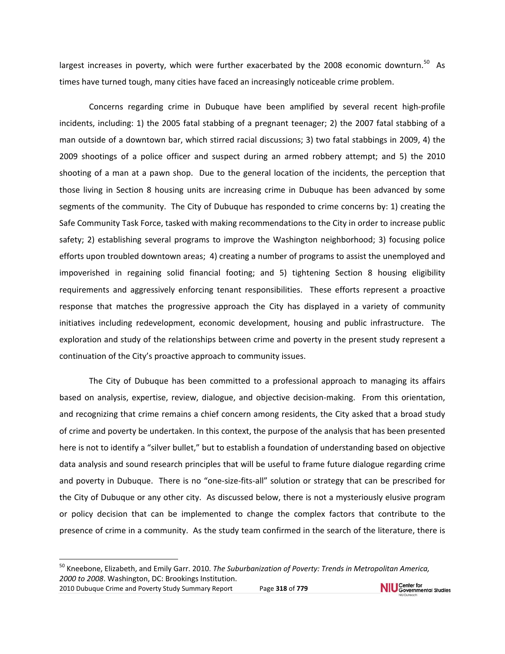largest increases in poverty, which were further exacerbated by the 2008 economic downturn.<sup>50</sup> As times have turned tough, many cities have faced an increasingly noticeable crime problem.

Concerns regarding crime in Dubuque have been amplified by several recent high‐profile incidents, including: 1) the 2005 fatal stabbing of a pregnant teenager; 2) the 2007 fatal stabbing of a man outside of a downtown bar, which stirred racial discussions; 3) two fatal stabbings in 2009, 4) the 2009 shootings of a police officer and suspect during an armed robbery attempt; and 5) the 2010 shooting of a man at a pawn shop. Due to the general location of the incidents, the perception that those living in Section 8 housing units are increasing crime in Dubuque has been advanced by some segments of the community. The City of Dubuque has responded to crime concerns by: 1) creating the Safe Community Task Force, tasked with making recommendations to the City in order to increase public safety; 2) establishing several programs to improve the Washington neighborhood; 3) focusing police efforts upon troubled downtown areas; 4) creating a number of programs to assist the unemployed and impoverished in regaining solid financial footing; and 5) tightening Section 8 housing eligibility requirements and aggressively enforcing tenant responsibilities. These efforts represent a proactive response that matches the progressive approach the City has displayed in a variety of community initiatives including redevelopment, economic development, housing and public infrastructure. The exploration and study of the relationships between crime and poverty in the present study represent a continuation of the City's proactive approach to community issues.

The City of Dubuque has been committed to a professional approach to managing its affairs based on analysis, expertise, review, dialogue, and objective decision-making. From this orientation, and recognizing that crime remains a chief concern among residents, the City asked that a broad study of crime and poverty be undertaken. In this context, the purpose of the analysis that has been presented here is not to identify a "silver bullet," but to establish a foundation of understanding based on objective data analysis and sound research principles that will be useful to frame future dialogue regarding crime and poverty in Dubuque. There is no "one-size-fits-all" solution or strategy that can be prescribed for the City of Dubuque or any other city. As discussed below, there is not a mysteriously elusive program or policy decision that can be implemented to change the complex factors that contribute to the presence of crime in a community. As the study team confirmed in the search of the literature, there is

<sup>50</sup> Kneebone, Elizabeth, and Emily Garr. 2010. *The Suburbanization of Poverty: Trends in Metropolitan America, 2000 to 2008*. Washington, DC: Brookings Institution.NIU Center for<br>NIU Governmental Studies 2010 Dubuque Crime and Poverty Study Summary Report Page **318** of **779**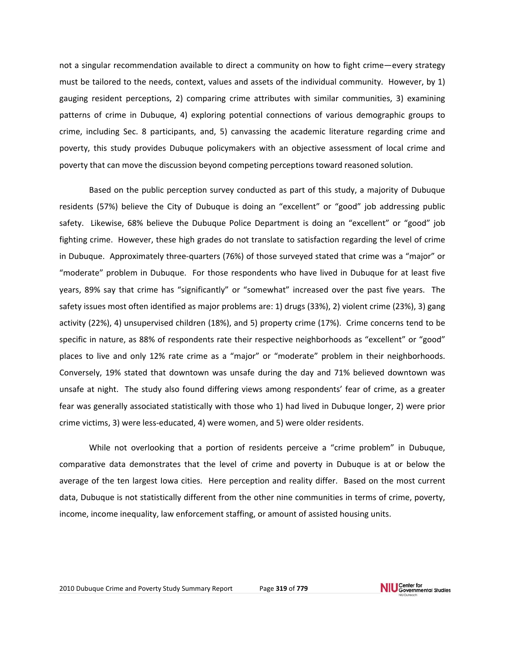not a singular recommendation available to direct a community on how to fight crime—every strategy must be tailored to the needs, context, values and assets of the individual community. However, by 1) gauging resident perceptions, 2) comparing crime attributes with similar communities, 3) examining patterns of crime in Dubuque, 4) exploring potential connections of various demographic groups to crime, including Sec. 8 participants, and, 5) canvassing the academic literature regarding crime and poverty, this study provides Dubuque policymakers with an objective assessment of local crime and poverty that can move the discussion beyond competing perceptions toward reasoned solution.

Based on the public perception survey conducted as part of this study, a majority of Dubuque residents (57%) believe the City of Dubuque is doing an "excellent" or "good" job addressing public safety. Likewise, 68% believe the Dubuque Police Department is doing an "excellent" or "good" job fighting crime. However, these high grades do not translate to satisfaction regarding the level of crime in Dubuque. Approximately three‐quarters (76%) of those surveyed stated that crime was a "major" or "moderate" problem in Dubuque. For those respondents who have lived in Dubuque for at least five years, 89% say that crime has "significantly" or "somewhat" increased over the past five years. The safety issues most often identified as major problems are: 1) drugs (33%), 2) violent crime (23%), 3) gang activity (22%), 4) unsupervised children (18%), and 5) property crime (17%). Crime concerns tend to be specific in nature, as 88% of respondents rate their respective neighborhoods as "excellent" or "good" places to live and only 12% rate crime as a "major" or "moderate" problem in their neighborhoods. Conversely, 19% stated that downtown was unsafe during the day and 71% believed downtown was unsafe at night. The study also found differing views among respondents' fear of crime, as a greater fear was generally associated statistically with those who 1) had lived in Dubuque longer, 2) were prior crime victims, 3) were less‐educated, 4) were women, and 5) were older residents.

While not overlooking that a portion of residents perceive a "crime problem" in Dubuque, comparative data demonstrates that the level of crime and poverty in Dubuque is at or below the average of the ten largest Iowa cities. Here perception and reality differ. Based on the most current data, Dubuque is not statistically different from the other nine communities in terms of crime, poverty, income, income inequality, law enforcement staffing, or amount of assisted housing units.

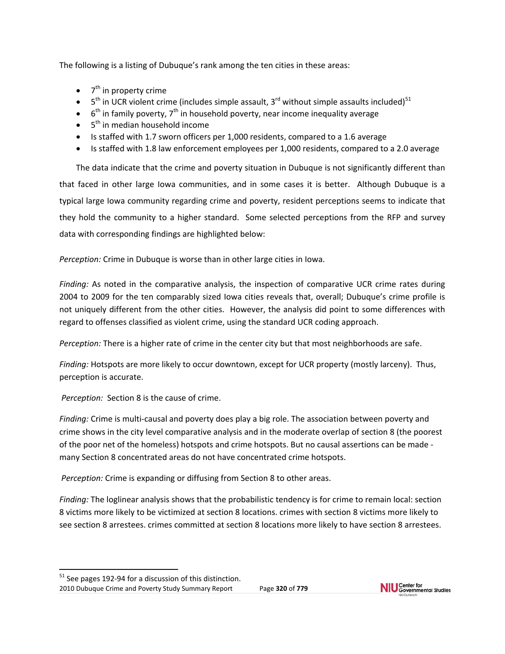The following is a listing of Dubuque's rank among the ten cities in these areas:

- $\bullet$  7<sup>th</sup> in property crime
- $5<sup>th</sup>$  in UCR violent crime (includes simple assault, 3<sup>rd</sup> without simple assaults included)<sup>51</sup>
- $6<sup>th</sup>$  in family poverty,  $7<sup>th</sup>$  in household poverty, near income inequality average
- $\bullet$  5<sup>th</sup> in median household income
- Is staffed with 1.7 sworn officers per 1,000 residents, compared to a 1.6 average
- Is staffed with 1.8 law enforcement employees per 1,000 residents, compared to a 2.0 average

The data indicate that the crime and poverty situation in Dubuque is not significantly different than that faced in other large Iowa communities, and in some cases it is better. Although Dubuque is a typical large Iowa community regarding crime and poverty, resident perceptions seems to indicate that they hold the community to a higher standard. Some selected perceptions from the RFP and survey data with corresponding findings are highlighted below:

*Perception:* Crime in Dubuque is worse than in other large cities in Iowa.

*Finding:* As noted in the comparative analysis, the inspection of comparative UCR crime rates during 2004 to 2009 for the ten comparably sized Iowa cities reveals that, overall; Dubuque's crime profile is not uniquely different from the other cities. However, the analysis did point to some differences with regard to offenses classified as violent crime, using the standard UCR coding approach.

*Perception:* There is a higher rate of crime in the center city but that most neighborhoods are safe.

*Finding:* Hotspots are more likely to occur downtown, except for UCR property (mostly larceny). Thus, perception is accurate.

*Perception:* Section 8 is the cause of crime.

*Finding:* Crime is multi‐causal and poverty does play a big role. The association between poverty and crime shows in the city level comparative analysis and in the moderate overlap of section 8 (the poorest of the poor net of the homeless) hotspots and crime hotspots. But no causal assertions can be made ‐ many Section 8 concentrated areas do not have concentrated crime hotspots.

*Perception:* Crime is expanding or diffusing from Section 8 to other areas.

*Finding:* The loglinear analysis shows that the probabilistic tendency is for crime to remain local: section 8 victims more likely to be victimized at section 8 locations. crimes with section 8 victims more likely to see section 8 arrestees. crimes committed at section 8 locations more likely to have section 8 arrestees.



<sup>2010</sup> Dubuque Crime and Poverty Study Summary Report Page **320** of **779**  $51$  See pages 192-94 for a discussion of this distinction.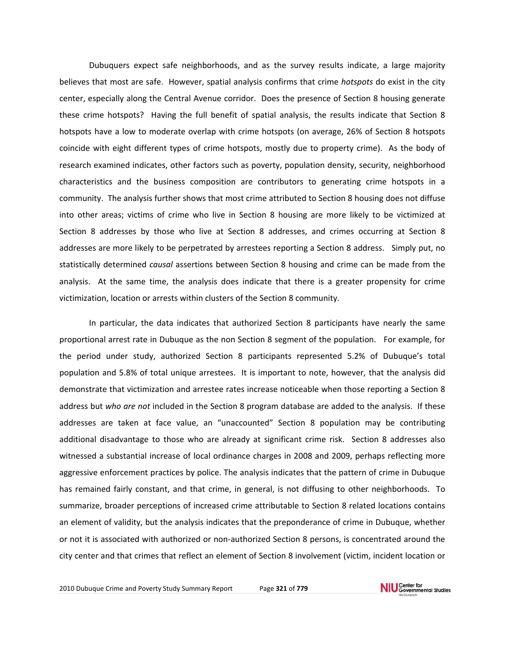Dubuquers expect safe neighborhoods, and as the survey results indicate, a large majority believes that most are safe. However, spatial analysis confirms that crime *hotspots* do exist in the city center, especially along the Central Avenue corridor. Does the presence of Section 8 housing generate these crime hotspots? Having the full benefit of spatial analysis, the results indicate that Section 8 hotspots have a low to moderate overlap with crime hotspots (on average, 26% of Section 8 hotspots coincide with eight different types of crime hotspots, mostly due to property crime). As the body of research examined indicates, other factors such as poverty, population density, security, neighborhood characteristics and the business composition are contributors to generating crime hotspots in a community. The analysis further shows that most crime attributed to Section 8 housing does not diffuse into other areas; victims of crime who live in Section 8 housing are more likely to be victimized at Section 8 addresses by those who live at Section 8 addresses, and crimes occurring at Section 8 addresses are more likely to be perpetrated by arrestees reporting a Section 8 address. Simply put, no statistically determined *causal* assertions between Section 8 housing and crime can be made from the analysis. At the same time, the analysis does indicate that there is a greater propensity for crime victimization, location or arrests within clusters of the Section 8 community.

In particular, the data indicates that authorized Section 8 participants have nearly the same proportional arrest rate in Dubuque as the non Section 8 segment of the population. For example, for the period under study, authorized Section 8 participants represented 5.2% of Dubuque's total population and 5.8% of total unique arrestees. It is important to note, however, that the analysis did demonstrate that victimization and arrestee rates increase noticeable when those reporting a Section 8 address but *who are not* included in the Section 8 program database are added to the analysis. If these addresses are taken at face value, an "unaccounted" Section 8 population may be contributing additional disadvantage to those who are already at significant crime risk. Section 8 addresses also witnessed a substantial increase of local ordinance charges in 2008 and 2009, perhaps reflecting more aggressive enforcement practices by police. The analysis indicates that the pattern of crime in Dubuque has remained fairly constant, and that crime, in general, is not diffusing to other neighborhoods. To summarize, broader perceptions of increased crime attributable to Section 8 related locations contains an element of validity, but the analysis indicates that the preponderance of crime in Dubuque, whether or not it is associated with authorized or non‐authorized Section 8 persons, is concentrated around the city center and that crimes that reflect an element of Section 8 involvement (victim, incident location or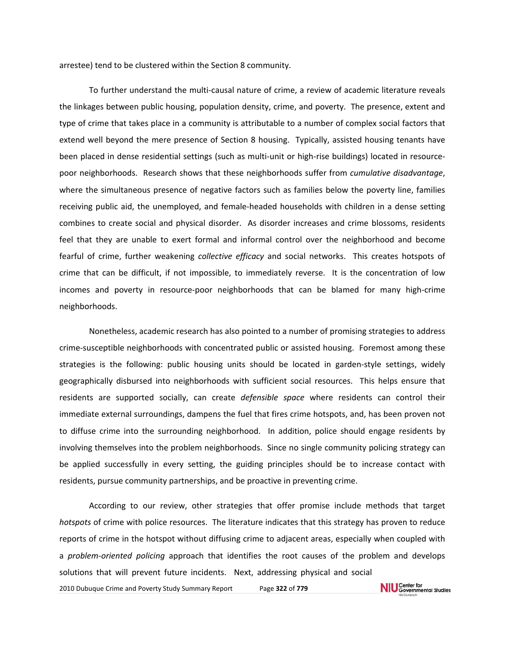arrestee) tend to be clustered within the Section 8 community.

To further understand the multi‐causal nature of crime, a review of academic literature reveals the linkages between public housing, population density, crime, and poverty. The presence, extent and type of crime that takes place in a community is attributable to a number of complex social factors that extend well beyond the mere presence of Section 8 housing. Typically, assisted housing tenants have been placed in dense residential settings (such as multi-unit or high-rise buildings) located in resourcepoor neighborhoods. Research shows that these neighborhoods suffer from *cumulative disadvantage*, where the simultaneous presence of negative factors such as families below the poverty line, families receiving public aid, the unemployed, and female‐headed households with children in a dense setting combines to create social and physical disorder. As disorder increases and crime blossoms, residents feel that they are unable to exert formal and informal control over the neighborhood and become fearful of crime, further weakening *collective efficacy* and social networks. This creates hotspots of crime that can be difficult, if not impossible, to immediately reverse. It is the concentration of low incomes and poverty in resource-poor neighborhoods that can be blamed for many high-crime neighborhoods.

Nonetheless, academic research has also pointed to a number of promising strategies to address crime‐susceptible neighborhoods with concentrated public or assisted housing. Foremost among these strategies is the following: public housing units should be located in garden-style settings, widely geographically disbursed into neighborhoods with sufficient social resources. This helps ensure that residents are supported socially, can create *defensible space* where residents can control their immediate external surroundings, dampens the fuel that fires crime hotspots, and, has been proven not to diffuse crime into the surrounding neighborhood. In addition, police should engage residents by involving themselves into the problem neighborhoods. Since no single community policing strategy can be applied successfully in every setting, the guiding principles should be to increase contact with residents, pursue community partnerships, and be proactive in preventing crime.

According to our review, other strategies that offer promise include methods that target *hotspots* of crime with police resources. The literature indicates that this strategy has proven to reduce reports of crime in the hotspot without diffusing crime to adjacent areas, especially when coupled with a *problem‐oriented policing* approach that identifies the root causes of the problem and develops solutions that will prevent future incidents. Next, addressing physical and socialNIU Center for<br>NIU Governmental Studies 2010 Dubuque Crime and Poverty Study Summary Report Page **322** of **779**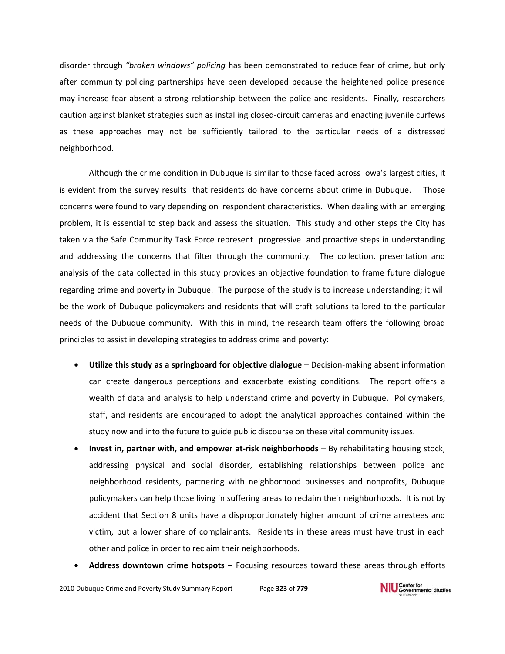disorder through *"broken windows" policing* has been demonstrated to reduce fear of crime, but only after community policing partnerships have been developed because the heightened police presence may increase fear absent a strong relationship between the police and residents. Finally, researchers caution against blanket strategies such as installing closed‐circuit cameras and enacting juvenile curfews as these approaches may not be sufficiently tailored to the particular needs of a distressed neighborhood.

Although the crime condition in Dubuque is similar to those faced across Iowa's largest cities, it is evident from the survey results that residents do have concerns about crime in Dubuque. Those concerns were found to vary depending on respondent characteristics. When dealing with an emerging problem, it is essential to step back and assess the situation. This study and other steps the City has taken via the Safe Community Task Force represent progressive and proactive steps in understanding and addressing the concerns that filter through the community. The collection, presentation and analysis of the data collected in this study provides an objective foundation to frame future dialogue regarding crime and poverty in Dubuque. The purpose of the study is to increase understanding; it will be the work of Dubuque policymakers and residents that will craft solutions tailored to the particular needs of the Dubuque community. With this in mind, the research team offers the following broad principles to assist in developing strategies to address crime and poverty:

- **Utilize this study as a springboard for objective dialogue** Decision‐making absent information can create dangerous perceptions and exacerbate existing conditions. The report offers a wealth of data and analysis to help understand crime and poverty in Dubuque. Policymakers, staff, and residents are encouraged to adopt the analytical approaches contained within the study now and into the future to guide public discourse on these vital community issues.
- **Invest in, partner with, and empower at‐risk neighborhoods** By rehabilitating housing stock, addressing physical and social disorder, establishing relationships between police and neighborhood residents, partnering with neighborhood businesses and nonprofits, Dubuque policymakers can help those living in suffering areas to reclaim their neighborhoods. It is not by accident that Section 8 units have a disproportionately higher amount of crime arrestees and victim, but a lower share of complainants. Residents in these areas must have trust in each other and police in order to reclaim their neighborhoods.
- **Address downtown crime hotspots** Focusing resources toward these areas through efforts